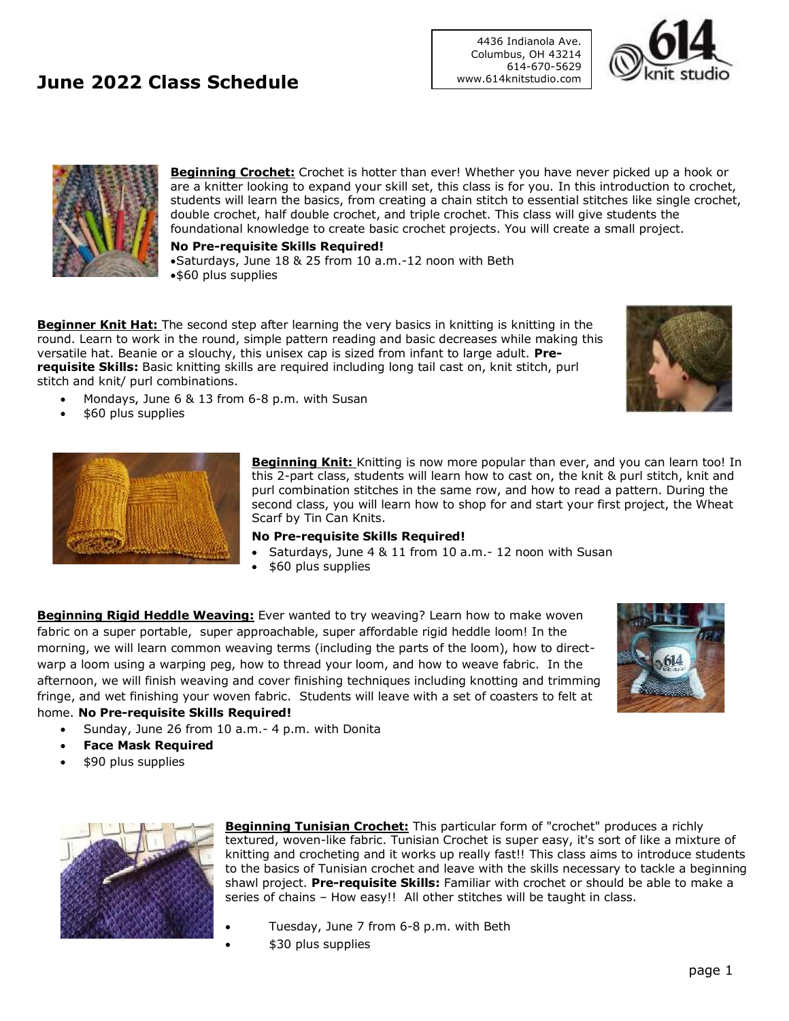## **June 2022 Class Schedule**

**Beginning Crochet:** Crochet is hotter than ever! Whether you have never picked up a hook or are a knitter looking to expand your skill set, this class is for you. In this introduction to crochet, students will learn the basics, from creating a chain stitch to essential stitches like single crochet, double crochet, half double crochet, and triple crochet. This class will give students the

4436 Indianola Ave. Columbus, OH 43214 614-670-5629

www.614knitstudio.com

foundational knowledge to create basic crochet projects. You will create a small project.

**No Pre-requisite Skills Required!** •Saturdays, June 18 & 25 from 10 a.m.-12 noon with Beth •\$60 plus supplies

**Beginner Knit Hat:** The second step after learning the very basics in knitting is knitting in the round. Learn to work in the round, simple pattern reading and basic decreases while making this versatile hat. Beanie or a slouchy, this unisex cap is sized from infant to large adult. **Prerequisite Skills:** Basic knitting skills are required including long tail cast on, knit stitch, purl stitch and knit/ purl combinations.

- Mondays, June 6 & 13 from 6-8 p.m. with Susan
- \$60 plus supplies



**Beginning Knit:** Knitting is now more popular than ever, and you can learn too! In this 2-part class, students will learn how to cast on, the knit & purl stitch, knit and purl combination stitches in the same row, and how to read a pattern. During the second class, you will learn how to shop for and start your first project, the Wheat Scarf by Tin Can Knits.

### **No Pre-requisite Skills Required!**

- Saturdays, June 4 & 11 from 10 a.m.- 12 noon with Susan
- \$60 plus supplies

**Beginning Rigid Heddle Weaving:** Ever wanted to try weaving? Learn how to make woven fabric on a super portable, super approachable, super affordable rigid heddle loom! In the morning, we will learn common weaving terms (including the parts of the loom), how to directwarp a loom using a warping peg, how to thread your loom, and how to weave fabric. In the afternoon, we will finish weaving and cover finishing techniques including knotting and trimming fringe, and wet finishing your woven fabric. Students will leave with a set of coasters to felt at home. **No Pre-requisite Skills Required!**



- Sunday, June 26 from 10 a.m.- 4 p.m. with Donita
- **Face Mask Required**
- \$90 plus supplies



**Beginning Tunisian Crochet:** This particular form of "crochet" produces a richly textured, woven-like fabric. Tunisian Crochet is super easy, it's sort of like a mixture of knitting and crocheting and it works up really fast!! This class aims to introduce students to the basics of Tunisian crochet and leave with the skills necessary to tackle a beginning shawl project. **Pre-requisite Skills:** Familiar with crochet or should be able to make a series of chains – How easy!! All other stitches will be taught in class.

- Tuesday, June 7 from 6-8 p.m. with Beth
- \$30 plus supplies



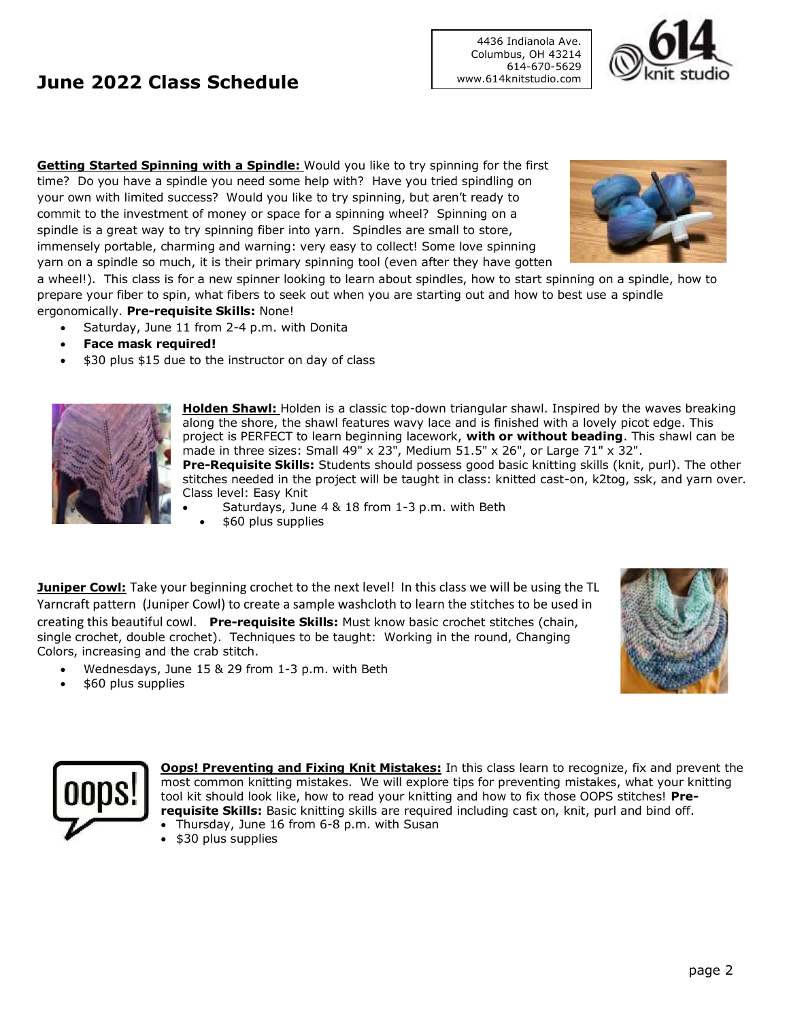# **June 2022 Class Schedule**

**Getting Started Spinning with a Spindle:** Would you like to try spinning for the first time? Do you have a spindle you need some help with? Have you tried spindling on your own with limited success? Would you like to try spinning, but aren't ready to commit to the investment of money or space for a spinning wheel? Spinning on a spindle is a great way to try spinning fiber into yarn. Spindles are small to store, immensely portable, charming and warning: very easy to collect! Some love spinning yarn on a spindle so much, it is their primary spinning tool (even after they have gotten

a wheel!). This class is for a new spinner looking to learn about spindles, how to start spinning on a spindle, how to prepare your fiber to spin, what fibers to seek out when you are starting out and how to best use a spindle ergonomically. **Pre-requisite Skills:** None!

- Saturday, June 11 from 2-4 p.m. with Donita
- **Face mask required!**
- \$30 plus \$15 due to the instructor on day of class



**Holden Shawl:** Holden is a classic top-down triangular shawl. Inspired by the waves breaking along the shore, the shawl features wavy lace and is finished with a lovely picot edge. This project is PERFECT to learn beginning lacework, **with or without beading**. This shawl can be made in three sizes: Small 49" x 23", Medium 51.5" x 26", or Large 71" x 32". **Pre-Requisite Skills:** Students should possess good basic knitting skills (knit, purl). The other stitches needed in the project will be taught in class: knitted cast-on, k2tog, ssk, and yarn over. Class level: Easy Knit

- Saturdays, June 4 & 18 from 1-3 p.m. with Beth
- \$60 plus supplies

**Juniper Cowl:** Take your beginning crochet to the next level! In this class we will be using the TL Yarncraft pattern (Juniper Cowl) to create a sample washcloth to learn the stitches to be used in creating this beautiful cowl. **Pre-requisite Skills:** Must know basic crochet stitches (chain, single crochet, double crochet). Techniques to be taught: Working in the round, Changing Colors, increasing and the crab stitch.

- Wednesdays, June 15 & 29 from 1-3 p.m. with Beth
- \$60 plus supplies



**Oops! Preventing and Fixing Knit Mistakes:** In this class learn to recognize, fix and prevent the most common knitting mistakes. We will explore tips for preventing mistakes, what your knitting tool kit should look like, how to read your knitting and how to fix those OOPS stitches! **Prerequisite Skills:** Basic knitting skills are required including cast on, knit, purl and bind off. • Thursday, June 16 from 6-8 p.m. with Susan

• \$30 plus supplies